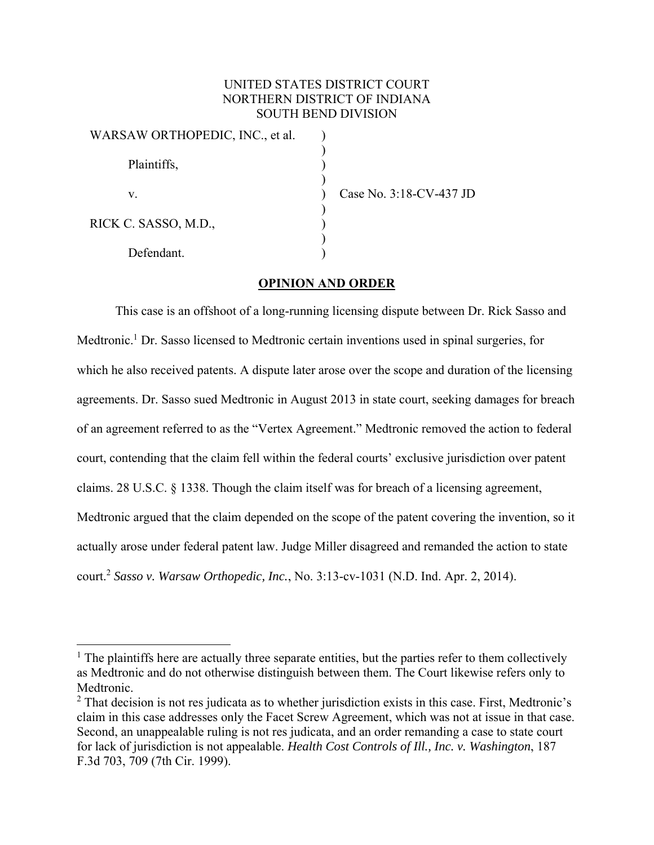## UNITED STATES DISTRICT COURT NORTHERN DISTRICT OF INDIANA SOUTH BEND DIVISION

| WARSAW ORTHOPEDIC, INC., et al. |  |
|---------------------------------|--|
| Plaintiffs,                     |  |
|                                 |  |
| V.                              |  |
| RICK C. SASSO, M.D.,            |  |
| Defendant.                      |  |

 $\overline{a}$ 

Case No. 3:18-CV-437 JD

## **OPINION AND ORDER**

This case is an offshoot of a long-running licensing dispute between Dr. Rick Sasso and Medtronic.<sup>1</sup> Dr. Sasso licensed to Medtronic certain inventions used in spinal surgeries, for which he also received patents. A dispute later arose over the scope and duration of the licensing agreements. Dr. Sasso sued Medtronic in August 2013 in state court, seeking damages for breach of an agreement referred to as the "Vertex Agreement." Medtronic removed the action to federal court, contending that the claim fell within the federal courts' exclusive jurisdiction over patent claims. 28 U.S.C. § 1338. Though the claim itself was for breach of a licensing agreement, Medtronic argued that the claim depended on the scope of the patent covering the invention, so it actually arose under federal patent law. Judge Miller disagreed and remanded the action to state court.2 *Sasso v. Warsaw Orthopedic, Inc.*, No. 3:13-cv-1031 (N.D. Ind. Apr. 2, 2014).

 $<sup>1</sup>$  The plaintiffs here are actually three separate entities, but the parties refer to them collectively</sup> as Medtronic and do not otherwise distinguish between them. The Court likewise refers only to Medtronic.

 $2$  That decision is not res judicata as to whether jurisdiction exists in this case. First, Medtronic's claim in this case addresses only the Facet Screw Agreement, which was not at issue in that case. Second, an unappealable ruling is not res judicata, and an order remanding a case to state court for lack of jurisdiction is not appealable. *Health Cost Controls of Ill., Inc. v. Washington*, 187 F.3d 703, 709 (7th Cir. 1999).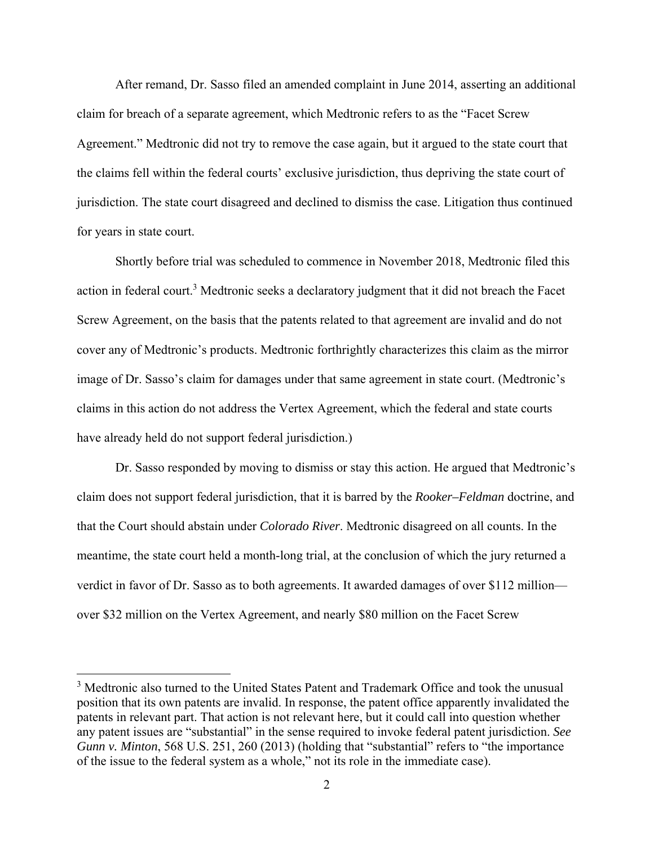After remand, Dr. Sasso filed an amended complaint in June 2014, asserting an additional claim for breach of a separate agreement, which Medtronic refers to as the "Facet Screw Agreement." Medtronic did not try to remove the case again, but it argued to the state court that the claims fell within the federal courts' exclusive jurisdiction, thus depriving the state court of jurisdiction. The state court disagreed and declined to dismiss the case. Litigation thus continued for years in state court.

Shortly before trial was scheduled to commence in November 2018, Medtronic filed this action in federal court.<sup>3</sup> Medtronic seeks a declaratory judgment that it did not breach the Facet Screw Agreement, on the basis that the patents related to that agreement are invalid and do not cover any of Medtronic's products. Medtronic forthrightly characterizes this claim as the mirror image of Dr. Sasso's claim for damages under that same agreement in state court. (Medtronic's claims in this action do not address the Vertex Agreement, which the federal and state courts have already held do not support federal jurisdiction.)

Dr. Sasso responded by moving to dismiss or stay this action. He argued that Medtronic's claim does not support federal jurisdiction, that it is barred by the *Rooker–Feldman* doctrine, and that the Court should abstain under *Colorado River*. Medtronic disagreed on all counts. In the meantime, the state court held a month-long trial, at the conclusion of which the jury returned a verdict in favor of Dr. Sasso as to both agreements. It awarded damages of over \$112 million over \$32 million on the Vertex Agreement, and nearly \$80 million on the Facet Screw

 $\overline{a}$ 

<sup>&</sup>lt;sup>3</sup> Medtronic also turned to the United States Patent and Trademark Office and took the unusual position that its own patents are invalid. In response, the patent office apparently invalidated the patents in relevant part. That action is not relevant here, but it could call into question whether any patent issues are "substantial" in the sense required to invoke federal patent jurisdiction. *See Gunn v. Minton*, 568 U.S. 251, 260 (2013) (holding that "substantial" refers to "the importance of the issue to the federal system as a whole," not its role in the immediate case).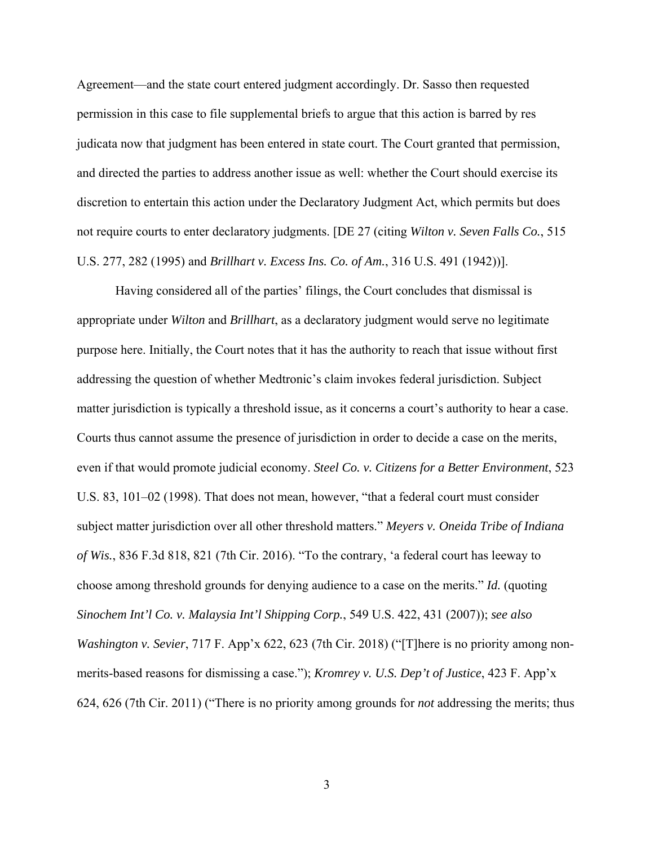Agreement—and the state court entered judgment accordingly. Dr. Sasso then requested permission in this case to file supplemental briefs to argue that this action is barred by res judicata now that judgment has been entered in state court. The Court granted that permission, and directed the parties to address another issue as well: whether the Court should exercise its discretion to entertain this action under the Declaratory Judgment Act, which permits but does not require courts to enter declaratory judgments. [DE 27 (citing *Wilton v. Seven Falls Co.*, 515 U.S. 277, 282 (1995) and *Brillhart v. Excess Ins. Co. of Am.*, 316 U.S. 491 (1942))].

Having considered all of the parties' filings, the Court concludes that dismissal is appropriate under *Wilton* and *Brillhart*, as a declaratory judgment would serve no legitimate purpose here. Initially, the Court notes that it has the authority to reach that issue without first addressing the question of whether Medtronic's claim invokes federal jurisdiction. Subject matter jurisdiction is typically a threshold issue, as it concerns a court's authority to hear a case. Courts thus cannot assume the presence of jurisdiction in order to decide a case on the merits, even if that would promote judicial economy. *Steel Co. v. Citizens for a Better Environment*, 523 U.S. 83, 101–02 (1998). That does not mean, however, "that a federal court must consider subject matter jurisdiction over all other threshold matters." *Meyers v. Oneida Tribe of Indiana of Wis.*, 836 F.3d 818, 821 (7th Cir. 2016). "To the contrary, 'a federal court has leeway to choose among threshold grounds for denying audience to a case on the merits." *Id.* (quoting *Sinochem Int'l Co. v. Malaysia Int'l Shipping Corp.*, 549 U.S. 422, 431 (2007)); *see also Washington v. Sevier*, 717 F. App'x 622, 623 (7th Cir. 2018) ("[T]here is no priority among nonmerits-based reasons for dismissing a case."); *Kromrey v. U.S. Dep't of Justice*, 423 F. App'x 624, 626 (7th Cir. 2011) ("There is no priority among grounds for *not* addressing the merits; thus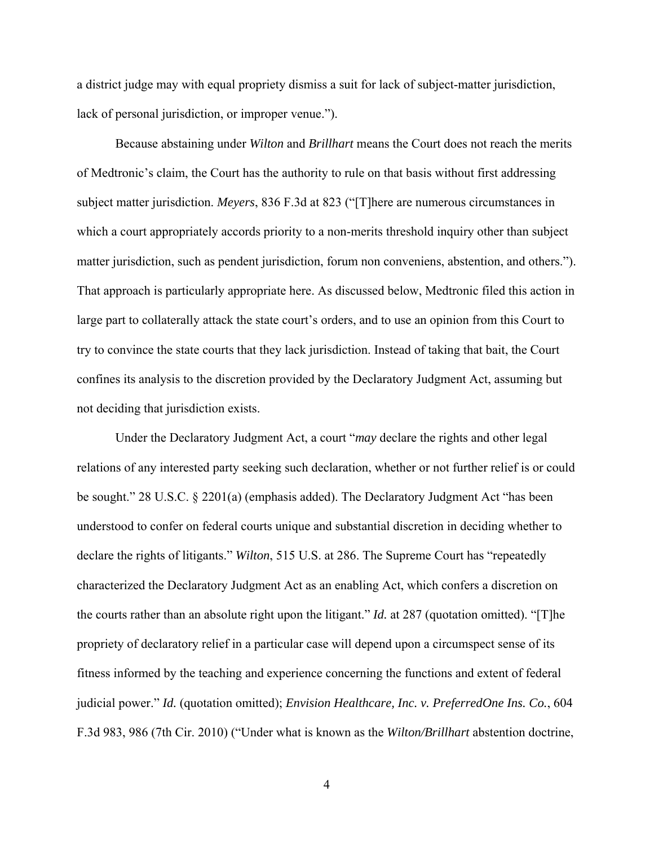a district judge may with equal propriety dismiss a suit for lack of subject-matter jurisdiction, lack of personal jurisdiction, or improper venue.").

Because abstaining under *Wilton* and *Brillhart* means the Court does not reach the merits of Medtronic's claim, the Court has the authority to rule on that basis without first addressing subject matter jurisdiction. *Meyers*, 836 F.3d at 823 ("[T]here are numerous circumstances in which a court appropriately accords priority to a non-merits threshold inquiry other than subject matter jurisdiction, such as pendent jurisdiction, forum non conveniens, abstention, and others."). That approach is particularly appropriate here. As discussed below, Medtronic filed this action in large part to collaterally attack the state court's orders, and to use an opinion from this Court to try to convince the state courts that they lack jurisdiction. Instead of taking that bait, the Court confines its analysis to the discretion provided by the Declaratory Judgment Act, assuming but not deciding that jurisdiction exists.

Under the Declaratory Judgment Act, a court "*may* declare the rights and other legal relations of any interested party seeking such declaration, whether or not further relief is or could be sought." 28 U.S.C. § 2201(a) (emphasis added). The Declaratory Judgment Act "has been understood to confer on federal courts unique and substantial discretion in deciding whether to declare the rights of litigants." *Wilton*, 515 U.S. at 286. The Supreme Court has "repeatedly characterized the Declaratory Judgment Act as an enabling Act, which confers a discretion on the courts rather than an absolute right upon the litigant." *Id.* at 287 (quotation omitted). "[T]he propriety of declaratory relief in a particular case will depend upon a circumspect sense of its fitness informed by the teaching and experience concerning the functions and extent of federal judicial power." *Id.* (quotation omitted); *Envision Healthcare, Inc. v. PreferredOne Ins. Co.*, 604 F.3d 983, 986 (7th Cir. 2010) ("Under what is known as the *Wilton/Brillhart* abstention doctrine,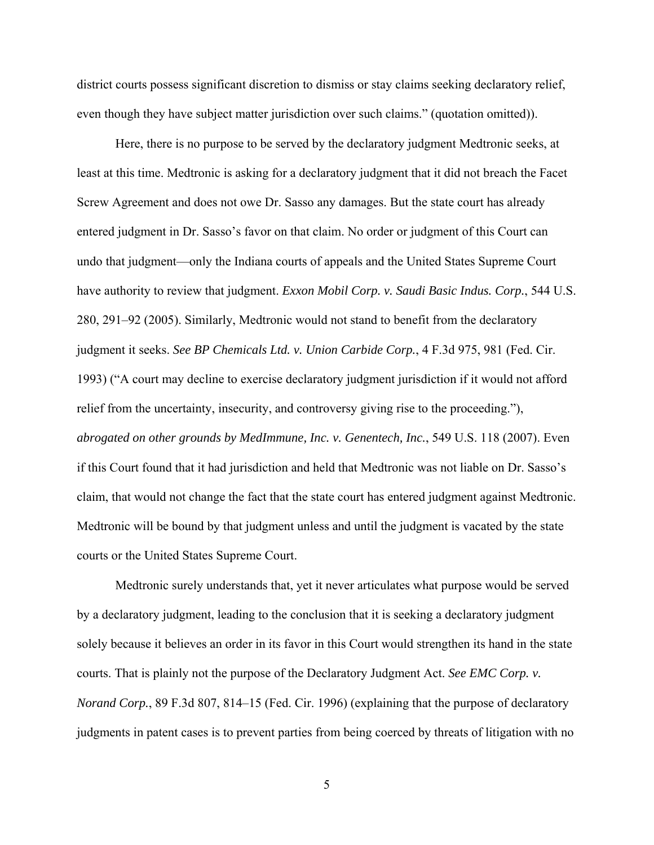district courts possess significant discretion to dismiss or stay claims seeking declaratory relief, even though they have subject matter jurisdiction over such claims." (quotation omitted)).

Here, there is no purpose to be served by the declaratory judgment Medtronic seeks, at least at this time. Medtronic is asking for a declaratory judgment that it did not breach the Facet Screw Agreement and does not owe Dr. Sasso any damages. But the state court has already entered judgment in Dr. Sasso's favor on that claim. No order or judgment of this Court can undo that judgment—only the Indiana courts of appeals and the United States Supreme Court have authority to review that judgment. *Exxon Mobil Corp. v. Saudi Basic Indus. Corp.*, 544 U.S. 280, 291–92 (2005). Similarly, Medtronic would not stand to benefit from the declaratory judgment it seeks. *See BP Chemicals Ltd. v. Union Carbide Corp.*, 4 F.3d 975, 981 (Fed. Cir. 1993) ("A court may decline to exercise declaratory judgment jurisdiction if it would not afford relief from the uncertainty, insecurity, and controversy giving rise to the proceeding."), *abrogated on other grounds by MedImmune, Inc. v. Genentech, Inc.*, 549 U.S. 118 (2007). Even if this Court found that it had jurisdiction and held that Medtronic was not liable on Dr. Sasso's claim, that would not change the fact that the state court has entered judgment against Medtronic. Medtronic will be bound by that judgment unless and until the judgment is vacated by the state courts or the United States Supreme Court.

Medtronic surely understands that, yet it never articulates what purpose would be served by a declaratory judgment, leading to the conclusion that it is seeking a declaratory judgment solely because it believes an order in its favor in this Court would strengthen its hand in the state courts. That is plainly not the purpose of the Declaratory Judgment Act. *See EMC Corp. v. Norand Corp.*, 89 F.3d 807, 814–15 (Fed. Cir. 1996) (explaining that the purpose of declaratory judgments in patent cases is to prevent parties from being coerced by threats of litigation with no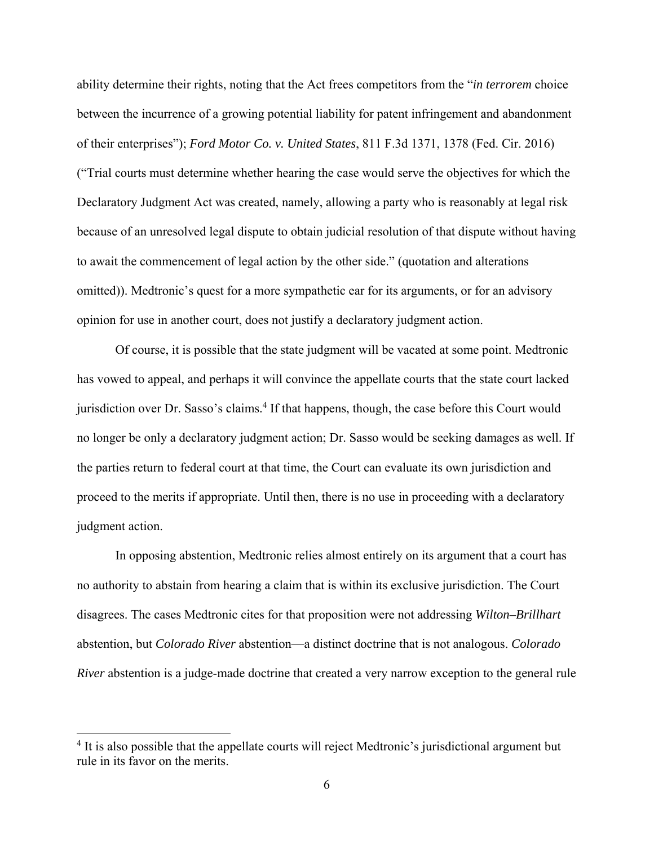ability determine their rights, noting that the Act frees competitors from the "*in terrorem* choice between the incurrence of a growing potential liability for patent infringement and abandonment of their enterprises"); *Ford Motor Co. v. United States*, 811 F.3d 1371, 1378 (Fed. Cir. 2016) ("Trial courts must determine whether hearing the case would serve the objectives for which the Declaratory Judgment Act was created, namely, allowing a party who is reasonably at legal risk because of an unresolved legal dispute to obtain judicial resolution of that dispute without having to await the commencement of legal action by the other side." (quotation and alterations omitted)). Medtronic's quest for a more sympathetic ear for its arguments, or for an advisory opinion for use in another court, does not justify a declaratory judgment action.

Of course, it is possible that the state judgment will be vacated at some point. Medtronic has vowed to appeal, and perhaps it will convince the appellate courts that the state court lacked jurisdiction over Dr. Sasso's claims.<sup>4</sup> If that happens, though, the case before this Court would no longer be only a declaratory judgment action; Dr. Sasso would be seeking damages as well. If the parties return to federal court at that time, the Court can evaluate its own jurisdiction and proceed to the merits if appropriate. Until then, there is no use in proceeding with a declaratory judgment action.

In opposing abstention, Medtronic relies almost entirely on its argument that a court has no authority to abstain from hearing a claim that is within its exclusive jurisdiction. The Court disagrees. The cases Medtronic cites for that proposition were not addressing *Wilton–Brillhart* abstention, but *Colorado River* abstention—a distinct doctrine that is not analogous. *Colorado River* abstention is a judge-made doctrine that created a very narrow exception to the general rule

<sup>&</sup>lt;sup>4</sup> It is also possible that the appellate courts will reject Medtronic's jurisdictional argument but rule in its favor on the merits.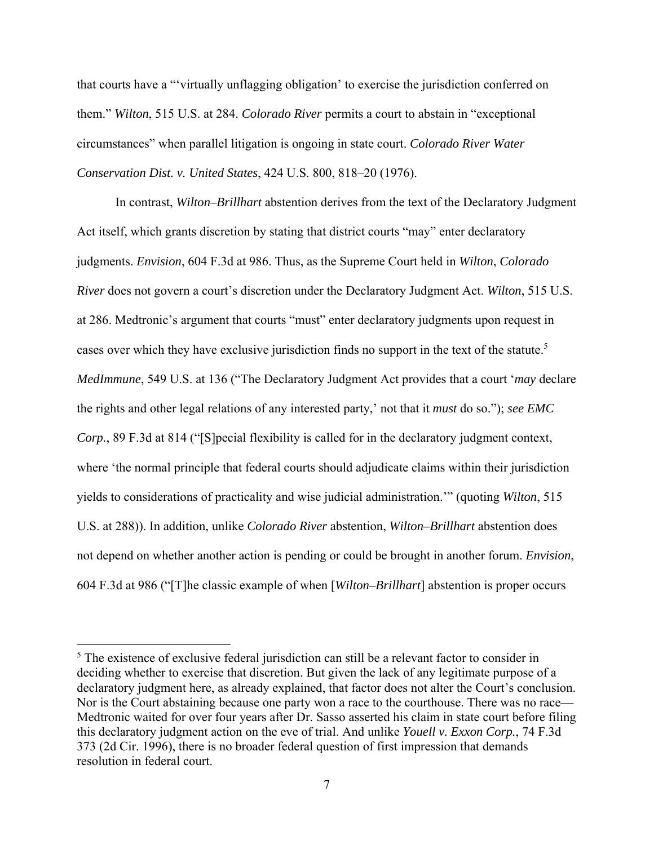that courts have a "'virtually unflagging obligation' to exercise the jurisdiction conferred on them." *Wilton*, 515 U.S. at 284. *Colorado River* permits a court to abstain in "exceptional circumstances" when parallel litigation is ongoing in state court. *Colorado River Water Conservation Dist. v. United States*, 424 U.S. 800, 818–20 (1976).

In contrast, *Wilton–Brillhart* abstention derives from the text of the Declaratory Judgment Act itself, which grants discretion by stating that district courts "may" enter declaratory judgments. *Envision*, 604 F.3d at 986. Thus, as the Supreme Court held in *Wilton*, *Colorado River* does not govern a court's discretion under the Declaratory Judgment Act. *Wilton*, 515 U.S. at 286. Medtronic's argument that courts "must" enter declaratory judgments upon request in cases over which they have exclusive jurisdiction finds no support in the text of the statute.<sup>5</sup> *MedImmune*, 549 U.S. at 136 ("The Declaratory Judgment Act provides that a court '*may* declare the rights and other legal relations of any interested party,' not that it *must* do so."); *see EMC Corp.*, 89 F.3d at 814 ("[S]pecial flexibility is called for in the declaratory judgment context, where 'the normal principle that federal courts should adjudicate claims within their jurisdiction yields to considerations of practicality and wise judicial administration.'" (quoting *Wilton*, 515 U.S. at 288)). In addition, unlike *Colorado River* abstention, *Wilton–Brillhart* abstention does not depend on whether another action is pending or could be brought in another forum. *Envision*, 604 F.3d at 986 ("[T]he classic example of when [*Wilton–Brillhart*] abstention is proper occurs

 $<sup>5</sup>$  The existence of exclusive federal jurisdiction can still be a relevant factor to consider in</sup> deciding whether to exercise that discretion. But given the lack of any legitimate purpose of a declaratory judgment here, as already explained, that factor does not alter the Court's conclusion. Nor is the Court abstaining because one party won a race to the courthouse. There was no race— Medtronic waited for over four years after Dr. Sasso asserted his claim in state court before filing this declaratory judgment action on the eve of trial. And unlike *Youell v. Exxon Corp.*, 74 F.3d 373 (2d Cir. 1996), there is no broader federal question of first impression that demands resolution in federal court.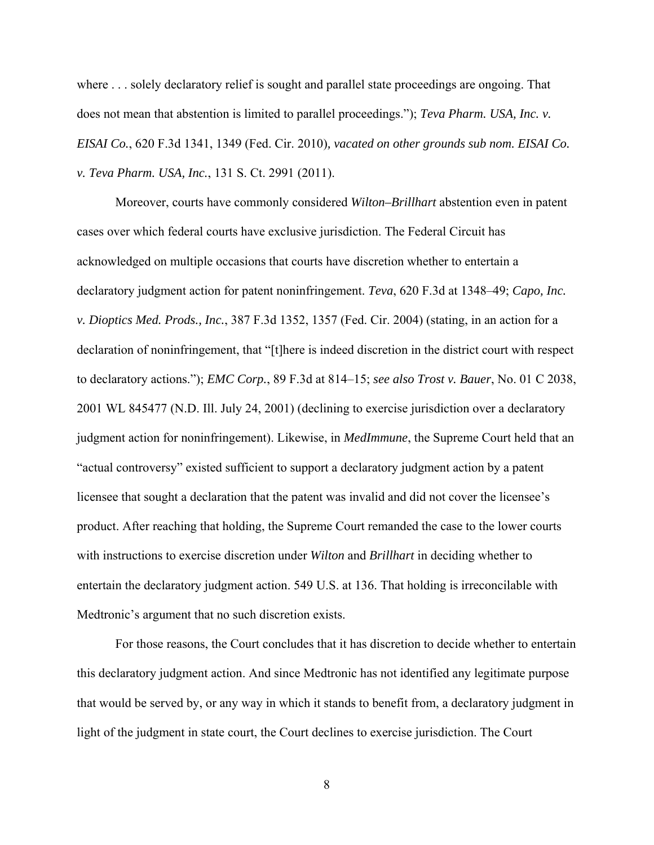where . . . solely declaratory relief is sought and parallel state proceedings are ongoing. That does not mean that abstention is limited to parallel proceedings."); *Teva Pharm. USA, Inc. v. EISAI Co.*, 620 F.3d 1341, 1349 (Fed. Cir. 2010)*, vacated on other grounds sub nom. EISAI Co. v. Teva Pharm. USA, Inc.*, 131 S. Ct. 2991 (2011).

Moreover, courts have commonly considered *Wilton–Brillhart* abstention even in patent cases over which federal courts have exclusive jurisdiction. The Federal Circuit has acknowledged on multiple occasions that courts have discretion whether to entertain a declaratory judgment action for patent noninfringement. *Teva*, 620 F.3d at 1348–49; *Capo, Inc. v. Dioptics Med. Prods., Inc.*, 387 F.3d 1352, 1357 (Fed. Cir. 2004) (stating, in an action for a declaration of noninfringement, that "[t]here is indeed discretion in the district court with respect to declaratory actions."); *EMC Corp.*, 89 F.3d at 814–15; *see also Trost v. Bauer*, No. 01 C 2038, 2001 WL 845477 (N.D. Ill. July 24, 2001) (declining to exercise jurisdiction over a declaratory judgment action for noninfringement). Likewise, in *MedImmune*, the Supreme Court held that an "actual controversy" existed sufficient to support a declaratory judgment action by a patent licensee that sought a declaration that the patent was invalid and did not cover the licensee's product. After reaching that holding, the Supreme Court remanded the case to the lower courts with instructions to exercise discretion under *Wilton* and *Brillhart* in deciding whether to entertain the declaratory judgment action. 549 U.S. at 136. That holding is irreconcilable with Medtronic's argument that no such discretion exists.

For those reasons, the Court concludes that it has discretion to decide whether to entertain this declaratory judgment action. And since Medtronic has not identified any legitimate purpose that would be served by, or any way in which it stands to benefit from, a declaratory judgment in light of the judgment in state court, the Court declines to exercise jurisdiction. The Court